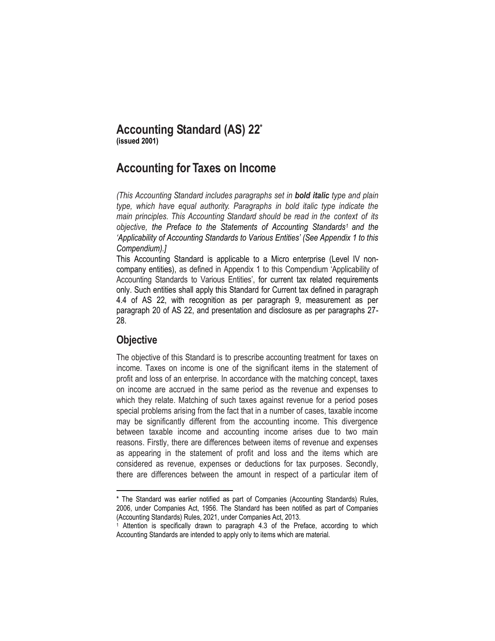# **Accounting Standard (AS) 22\* (issued 2001)**

# **Accounting for Taxes on Income**

*(This Accounting Standard includes paragraphs set in bold italic type and plain type, which have equal authority. Paragraphs in bold italic type indicate the main principles. This Accounting Standard should be read in the context of its objective, the Preface to the Statements of Accounting Standards<sup>1</sup> and the 'Applicability of Accounting Standards to Various Entities' (See Appendix 1 to this Compendium).]* 

This Accounting Standard is applicable to a Micro enterprise (Level IV noncompany entities), as defined in Appendix 1 to this Compendium 'Applicability of Accounting Standards to Various Entities', for current tax related requirements only. Such entities shall apply this Standard for Current tax defined in paragraph 4.4 of AS 22, with recognition as per paragraph 9, measurement as per paragraph 20 of AS 22, and presentation and disclosure as per paragraphs 27- 28.

# **Objective**

The objective of this Standard is to prescribe accounting treatment for taxes on income. Taxes on income is one of the significant items in the statement of profit and loss of an enterprise. In accordance with the matching concept, taxes on income are accrued in the same period as the revenue and expenses to which they relate. Matching of such taxes against revenue for a period poses special problems arising from the fact that in a number of cases, taxable income may be significantly different from the accounting income. This divergence between taxable income and accounting income arises due to two main reasons. Firstly, there are differences between items of revenue and expenses as appearing in the statement of profit and loss and the items which are considered as revenue, expenses or deductions for tax purposes. Secondly, there are differences between the amount in respect of a particular item of

 $\overline{\phantom{a}}$ \* The Standard was earlier notified as part of Companies (Accounting Standards) Rules, 2006, under Companies Act, 1956. The Standard has been notified as part of Companies (Accounting Standards) Rules, 2021, under Companies Act, 2013.

Attention is specifically drawn to paragraph 4.3 of the Preface, according to which Accounting Standards are intended to apply only to items which are material.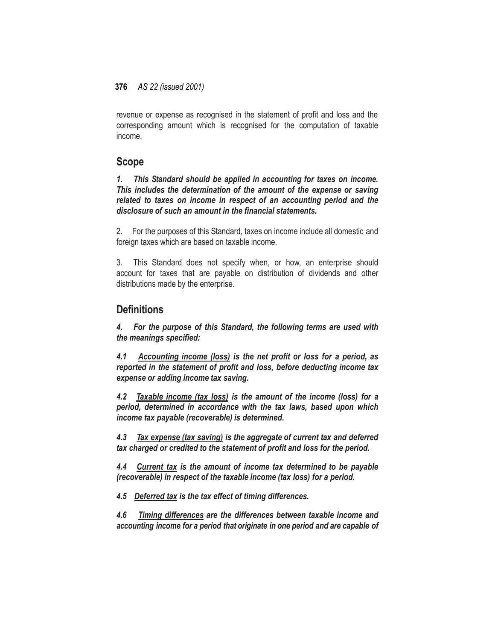revenue or expense as recognised in the statement of profit and loss and the corresponding amount which is recognised for the computation of taxable income.

# **Scope**

*1. This Standard should be applied in accounting for taxes on income. This includes the determination of the amount of the expense or saving related to taxes on income in respect of an accounting period and the disclosure of such an amount in the financial statements.*

2. For the purposes of this Standard, taxes on income include all domestic and foreign taxes which are based on taxable income.

3. This Standard does not specify when, or how, an enterprise should account for taxes that are payable on distribution of dividends and other distributions made by the enterprise.

# **Definitions**

*4. For the purpose of this Standard, the following terms are used with the meanings specified:*

*4.1 Accounting income (loss) is the net profit or loss for a period, as reported in the statement of profit and loss, before deducting income tax expense or adding income tax saving.*

*4.2 Taxable income (tax loss) is the amount of the income (loss) for a period, determined in accordance with the tax laws, based upon which income tax payable (recoverable) is determined.*

*4.3 Tax expense (tax saving) is the aggregate of current tax and deferred tax charged or credited to the statement of profit and loss for the period.*

*4.4 Current tax is the amount of income tax determined to be payable (recoverable) in respect of the taxable income (tax loss) for a period.*

*4.5 Deferred tax is the tax effect of timing differences.*

*4.6 Timing differences are the differences between taxable income and accounting income for a period that originate in one period and are capable of*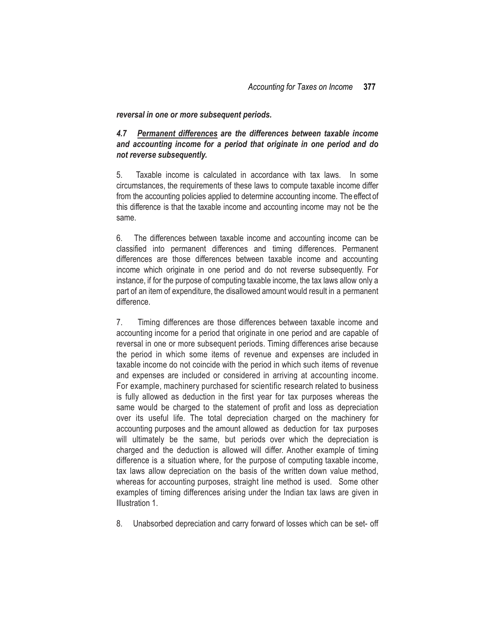#### *reversal in one or more subsequent periods.*

# *4.7 Permanent differences are the differences between taxable income and accounting income for a period that originate in one period and do not reverse subsequently.*

5. Taxable income is calculated in accordance with tax laws. In some circumstances, the requirements of these laws to compute taxable income differ from the accounting policies applied to determine accounting income. The effect of this difference is that the taxable income and accounting income may not be the same.

6. The differences between taxable income and accounting income can be classified into permanent differences and timing differences. Permanent differences are those differences between taxable income and accounting income which originate in one period and do not reverse subsequently. For instance, if for the purpose of computing taxable income, the tax laws allow only a part of an item of expenditure, the disallowed amount would result in a permanent difference.

7. Timing differences are those differences between taxable income and accounting income for a period that originate in one period and are capable of reversal in one or more subsequent periods. Timing differences arise because the period in which some items of revenue and expenses are included in taxable income do not coincide with the period in which such items of revenue and expenses are included or considered in arriving at accounting income. For example, machinery purchased for scientific research related to business is fully allowed as deduction in the first year for tax purposes whereas the same would be charged to the statement of profit and loss as depreciation over its useful life. The total depreciation charged on the machinery for accounting purposes and the amount allowed as deduction for tax purposes will ultimately be the same, but periods over which the depreciation is charged and the deduction is allowed will differ. Another example of timing difference is a situation where, for the purpose of computing taxable income, tax laws allow depreciation on the basis of the written down value method, whereas for accounting purposes, straight line method is used. Some other examples of timing differences arising under the Indian tax laws are given in Illustration 1.

8. Unabsorbed depreciation and carry forward of losses which can be set- off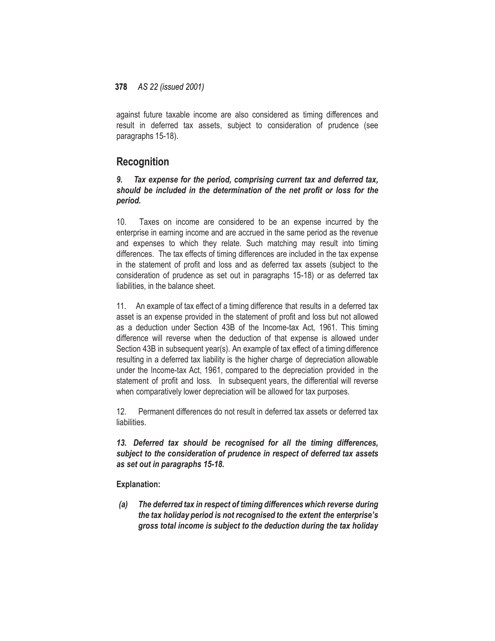against future taxable income are also considered as timing differences and result in deferred tax assets, subject to consideration of prudence (see paragraphs 15-18).

# **Recognition**

# *9. Tax expense for the period, comprising current tax and deferred tax, should be included in the determination of the net profit or loss for the period.*

10. Taxes on income are considered to be an expense incurred by the enterprise in earning income and are accrued in the same period as the revenue and expenses to which they relate. Such matching may result into timing differences. The tax effects of timing differences are included in the tax expense in the statement of profit and loss and as deferred tax assets (subject to the consideration of prudence as set out in paragraphs 15-18) or as deferred tax liabilities, in the balance sheet.

11. An example of tax effect of a timing difference that results in a deferred tax asset is an expense provided in the statement of profit and loss but not allowed as a deduction under Section 43B of the Income-tax Act, 1961. This timing difference will reverse when the deduction of that expense is allowed under Section 43B in subsequent year(s). An example of tax effect of a timing difference resulting in a deferred tax liability is the higher charge of depreciation allowable under the Income-tax Act, 1961, compared to the depreciation provided in the statement of profit and loss. In subsequent years, the differential will reverse when comparatively lower depreciation will be allowed for tax purposes.

12. Permanent differences do not result in deferred tax assets or deferred tax liabilities.

*13. Deferred tax should be recognised for all the timing differences, subject to the consideration of prudence in respect of deferred tax assets as set out in paragraphs 15-18.*

**Explanation:**

*(a) The deferred tax in respect of timing differenceswhich reverse during the tax holiday period is not recognised to the extent the enterprise's gross total income is subject to the deduction during the tax holiday*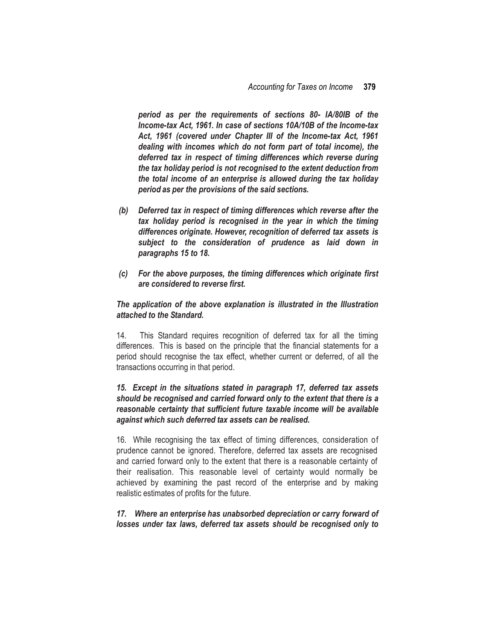*period as per the requirements of sections 80- IA/80IB of the Income-tax Act, 1961. In case of sections 10A/10B of the Income-tax Act, 1961 (covered under Chapter III of the Income-tax Act, 1961 dealing with incomes which do not form part of total income), the deferred tax in respect of timing differences which reverse during the tax holiday period is not recognised to the extent deduction from the total income of an enterprise is allowed during the tax holiday period as per the provisions of the said sections.*

- *(b) Deferred tax in respect of timing differences which reverse after the tax holiday period is recognised in the year in which the timing differences originate. However, recognition of deferred tax assets is subject to the consideration of prudence as laid down in paragraphs 15 to 18.*
- *(c) For the above purposes, the timing differences which originate first are considered to reverse first.*

### *The application of the above explanation is illustrated in the Illustration attached to the Standard.*

14. This Standard requires recognition of deferred tax for all the timing differences. This is based on the principle that the financial statements for a period should recognise the tax effect, whether current or deferred, of all the transactions occurring in that period.

# *15. Except in the situations stated in paragraph 17, deferred tax assets should be recognised and carried forward only to the extent that there is a reasonable certainty that sufficient future taxable income will be available against which such deferred tax assets can be realised.*

16. While recognising the tax effect of timing differences, consideration of prudence cannot be ignored. Therefore, deferred tax assets are recognised and carried forward only to the extent that there is a reasonable certainty of their realisation. This reasonable level of certainty would normally be achieved by examining the past record of the enterprise and by making realistic estimates of profits for the future.

### *17. Where an enterprise has unabsorbed depreciation or carry forward of losses under tax laws, deferred tax assets should be recognised only to*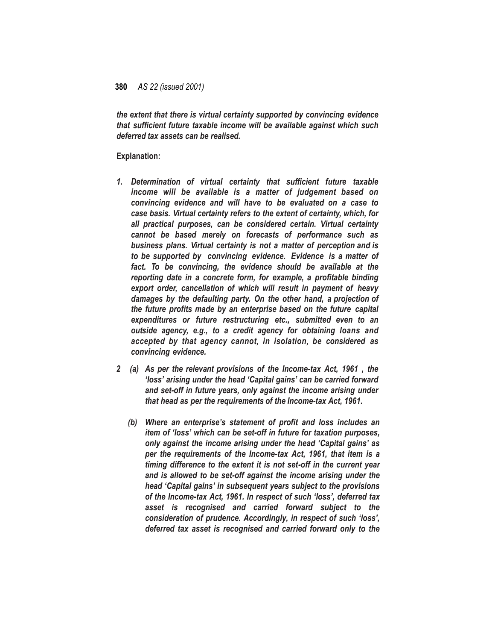*the extent that there is virtual certainty supported by convincing evidence that sufficient future taxable income will be available against which such deferred tax assets can be realised.*

#### **Explanation:**

- *1. Determination of virtual certainty that sufficient future taxable income will be available is a matter of judgement based on convincing evidence and will have to be evaluated on a case to case basis. Virtual certainty refers to the extent of certainty, which, for all practical purposes, can be considered certain. Virtual certainty cannot be based merely on forecasts of performance such as business plans. Virtual certainty is not a matter of perception and is to be supported by convincing evidence. Evidence is a matter of fact. To be convincing, the evidence should be available at the reporting date in a concrete form, for example, a profitable binding export order, cancellation of which will result in payment of heavy damages by the defaulting party. On the other hand, a projection of the future profits made by an enterprise based on the future capital expenditures or future restructuring etc., submitted even to an outside agency, e.g., to a credit agency for obtaining loans and accepted by that agency cannot, in isolation, be considered as convincing evidence.*
- *2 (a) As per the relevant provisions of the Income-tax Act, 1961 , the 'loss' arising under the head 'Capital gains' can be carried forward and set-off in future years, only against the income arising under that head as per the requirements of the Income-tax Act, 1961.*
	- *(b) Where an enterprise's statement of profit and loss includes an item of 'loss' which can be set-off in future for taxation purposes, only against the income arising under the head 'Capital gains' as per the requirements of the Income-tax Act, 1961, that item is a timing difference to the extent it is not set-off in the current year and is allowed to be set-off against the income arising under the head 'Capital gains' in subsequent years subject to the provisions of the Income-tax Act, 1961. In respect of such 'loss', deferred tax asset is recognised and carried forward subject to the consideration of prudence. Accordingly, in respect of such 'loss', deferred tax asset is recognised and carried forward only to the*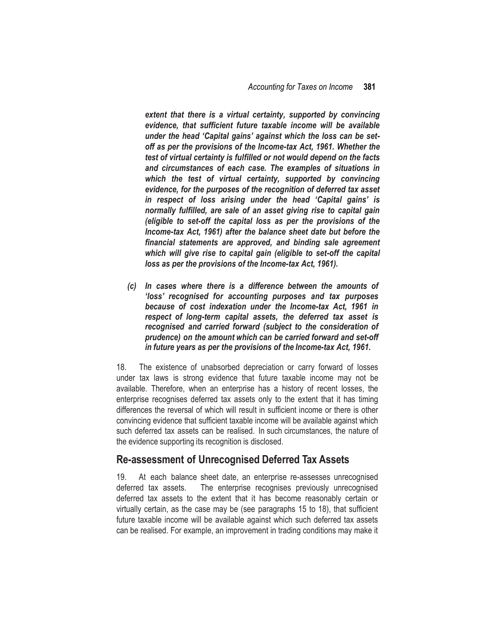extent that there is a virtual certainty, supported by convincing *evidence, that sufficient future taxable income will be available under the head 'Capital gains' against which the loss can be setoff as per the provisions of the Income-tax Act, 1961. Whether the test of virtual certainty is fulfilled or not would depend on the facts and circumstances of each case. The examples of situations in which the test of virtual certainty, supported by convincing evidence, for the purposes of the recognition of deferred tax asset in respect of loss arising under the head 'Capital gains' is normally fulfilled, are sale of an asset giving rise to capital gain (eligible to set-off the capital loss as per the provisions of the Income-tax Act, 1961) after the balance sheet date but before the financial statements are approved, and binding sale agreement which will give rise to capital gain (eligible to set-off the capital loss as per the provisions of the Income-tax Act, 1961).*

*(c) In cases where there is a difference between the amounts of 'loss' recognised for accounting purposes and tax purposes because of cost indexation under the Income-tax Act, 1961 in respect of long-term capital assets, the deferred tax asset is recognised and carried forward (subject to the consideration of prudence) on the amount which can be carried forward and set-off in future years as per the provisions of the Income-tax Act, 1961.*

18. The existence of unabsorbed depreciation or carry forward of losses under tax laws is strong evidence that future taxable income may not be available. Therefore, when an enterprise has a history of recent losses, the enterprise recognises deferred tax assets only to the extent that it has timing differences the reversal of which will result in sufficient income or there is other convincing evidence that sufficient taxable income will be available against which such deferred tax assets can be realised. In such circumstances, the nature of the evidence supporting its recognition is disclosed.

# **Re-assessment of Unrecognised Deferred Tax Assets**

19. At each balance sheet date, an enterprise re-assesses unrecognised deferred tax assets. The enterprise recognises previously unrecognised deferred tax assets to the extent that it has become reasonably certain or virtually certain, as the case may be (see paragraphs 15 to 18), that sufficient future taxable income will be available against which such deferred tax assets can be realised. For example, an improvement in trading conditions may make it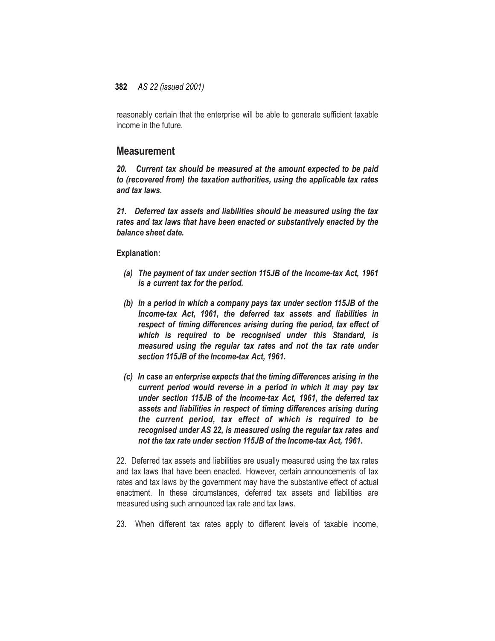reasonably certain that the enterprise will be able to generate sufficient taxable income in the future.

# **Measurement**

*20. Current tax should be measured at the amount expected to be paid to (recovered from) the taxation authorities, using the applicable tax rates and tax laws.*

*21. Deferred tax assets and liabilities should be measured using the tax rates and tax laws that have been enacted or substantively enacted by the balance sheet date.*

#### **Explanation:**

- *(a) The payment of tax under section 115JB of the Income-tax Act, 1961 is a current tax for the period.*
- *(b) In a period in which a company pays tax under section 115JB of the Income-tax Act, 1961, the deferred tax assets and liabilities in respect of timing differences arising during the period, tax effect of which is required to be recognised under this Standard, is measured using the regular tax rates and not the tax rate under section 115JB of the Income-tax Act, 1961.*
- *(c) In case an enterprise expects that the timing differences arising in the current period would reverse in a period in which it may pay tax under section 115JB of the Income-tax Act, 1961, the deferred tax assets and liabilities in respect of timing differences arising during the current period, tax effect of which is required to be recognised under AS 22, is measured using the regular tax rates and not the tax rate under section 115JB of the Income-tax Act, 1961.*

22. Deferred tax assets and liabilities are usually measured using the tax rates and tax laws that have been enacted. However, certain announcements of tax rates and tax laws by the government may have the substantive effect of actual enactment. In these circumstances, deferred tax assets and liabilities are measured using such announced tax rate and tax laws.

23. When different tax rates apply to different levels of taxable income,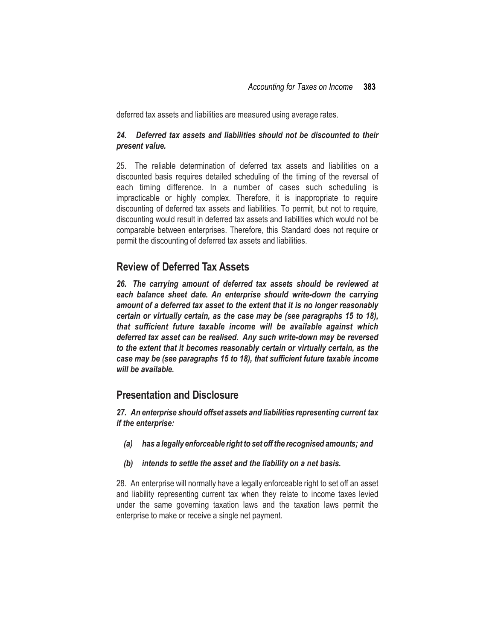deferred tax assets and liabilities are measured using average rates.

### *24. Deferred tax assets and liabilities should not be discounted to their present value.*

25. The reliable determination of deferred tax assets and liabilities on a discounted basis requires detailed scheduling of the timing of the reversal of each timing difference. In a number of cases such scheduling is impracticable or highly complex. Therefore, it is inappropriate to require discounting of deferred tax assets and liabilities. To permit, but not to require, discounting would result in deferred tax assets and liabilities which would not be comparable between enterprises. Therefore, this Standard does not require or permit the discounting of deferred tax assets and liabilities.

# **Review of Deferred Tax Assets**

*26. The carrying amount of deferred tax assets should be reviewed at each balance sheet date. An enterprise should write-down the carrying amount of a deferred tax asset to the extent that it is no longer reasonably certain or virtually certain, as the case may be (see paragraphs 15 to 18), that sufficient future taxable income will be available against which deferred tax asset can be realised. Any such write-down may be reversed to the extent that it becomes reasonably certain or virtually certain, as the case may be (see paragraphs 15 to 18), that sufficient future taxable income will be available.*

# **Presentation and Disclosure**

*27. An enterprise should offset assets and liabilities representing current tax if the enterprise:*

- *(a) has a legally enforceable right to set off the recognised amounts; and*
- *(b) intends to settle the asset and the liability on a net basis.*

28. An enterprise will normally have a legally enforceable right to set off an asset and liability representing current tax when they relate to income taxes levied under the same governing taxation laws and the taxation laws permit the enterprise to make or receive a single net payment.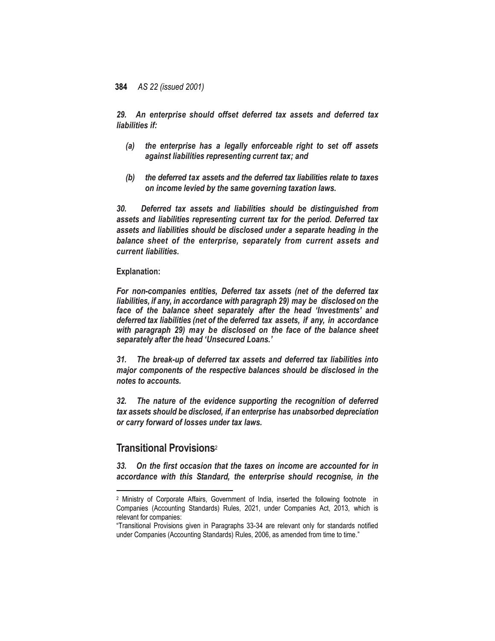*29. An enterprise should offset deferred tax assets and deferred tax liabilities if:*

- *(a) the enterprise has a legally enforceable right to set off assets against liabilities representing current tax; and*
- *(b) the deferred tax assets and the deferred tax liabilities relate to taxes on income levied by the same governing taxation laws.*

*30. Deferred tax assets and liabilities should be distinguished from assets and liabilities representing current tax for the period. Deferred tax assets and liabilities should be disclosed under a separate heading in the balance sheet of the enterprise, separately from current assets and current liabilities.*

#### **Explanation:**

*For non-companies entities, Deferred tax assets (net of the deferred tax liabilities, if any, in accordance with paragraph 29) may be disclosed on the face of the balance sheet separately after the head 'Investments' and deferred tax liabilities (net of the deferred tax assets, if any, in accordance with paragraph 29) may be disclosed on the face of the balance sheet separately after the head 'Unsecured Loans.'*

*31. The break-up of deferred tax assets and deferred tax liabilities into major components of the respective balances should be disclosed in the notes to accounts.*

*32. The nature of the evidence supporting the recognition of deferred tax assets should be disclosed, if an enterprise has unabsorbed depreciation or carry forward of losses under tax laws.*

# **Transitional Provisions**<sup>2</sup>

 $\overline{\phantom{a}}$ 

*33. On the first occasion that the taxes on income are accounted for in accordance with this Standard, the enterprise should recognise, in the* 

<sup>2</sup> Ministry of Corporate Affairs, Government of India, inserted the following footnote in Companies (Accounting Standards) Rules, 2021, under Companies Act, 2013, which is relevant for companies:

<sup>&</sup>quot;Transitional Provisions given in Paragraphs 33-34 are relevant only for standards notified under Companies (Accounting Standards) Rules, 2006, as amended from time to time."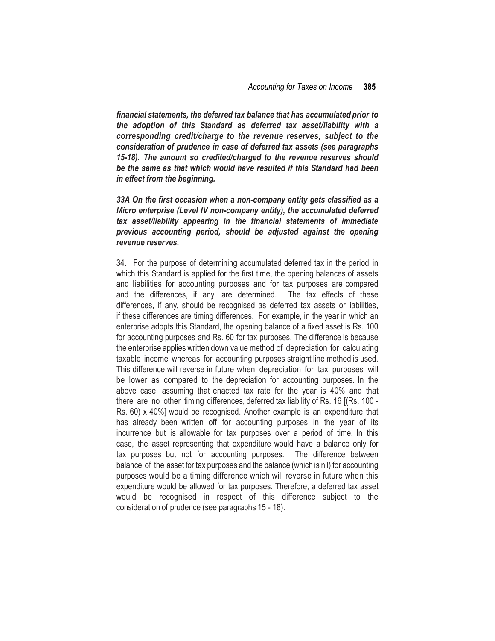*financial statements, the deferred tax balance that has accumulated prior to the adoption of this Standard as deferred tax asset/liability with a corresponding credit/charge to the revenue reserves, subject to the consideration of prudence in case of deferred tax assets (see paragraphs 15-18). The amount so credited/charged to the revenue reserves should be the same as that which would have resulted if this Standard had been in effect from the beginning.*

*33A On the first occasion when a non-company entity gets classified as a Micro enterprise (Level IV non-company entity), the accumulated deferred tax asset/liability appearing in the financial statements of immediate previous accounting period, should be adjusted against the opening revenue reserves.* 

34. For the purpose of determining accumulated deferred tax in the period in which this Standard is applied for the first time, the opening balances of assets and liabilities for accounting purposes and for tax purposes are compared and the differences, if any, are determined. The tax effects of these differences, if any, should be recognised as deferred tax assets or liabilities, if these differences are timing differences. For example, in the year in which an enterprise adopts this Standard, the opening balance of a fixed asset is Rs. 100 for accounting purposes and Rs. 60 for tax purposes. The difference is because the enterprise applies written down value method of depreciation for calculating taxable income whereas for accounting purposes straight line method is used. This difference will reverse in future when depreciation for tax purposes will be lower as compared to the depreciation for accounting purposes. In the above case, assuming that enacted tax rate for the year is 40% and that there are no other timing differences, deferred tax liability of Rs. 16 [(Rs. 100 - Rs. 60) x 40%] would be recognised. Another example is an expenditure that has already been written off for accounting purposes in the year of its incurrence but is allowable for tax purposes over a period of time. In this case, the asset representing that expenditure would have a balance only for tax purposes but not for accounting purposes. The difference between balance of the asset for tax purposes and the balance (which is nil) for accounting purposes would be a timing difference which will reverse in future when this expenditure would be allowed for tax purposes. Therefore, a deferred tax asset would be recognised in respect of this difference subject to the consideration of prudence (see paragraphs 15 - 18).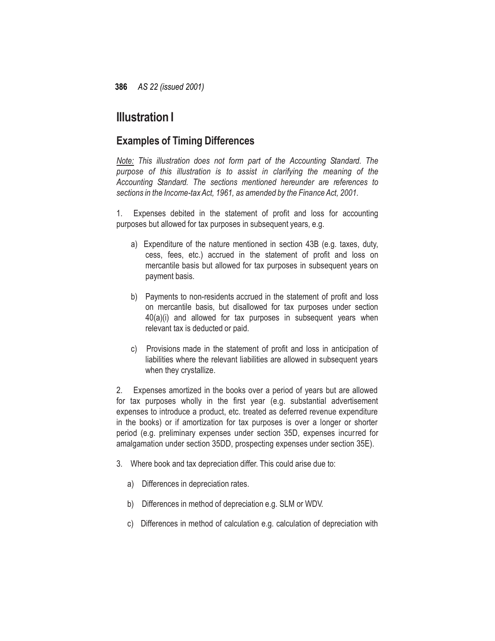# **Illustration I**

# **Examples of Timing Differences**

*Note: This illustration does not form part of the Accounting Standard. The purpose of this illustration is to assist in clarifying the meaning of the Accounting Standard. The sections mentioned hereunder are references to sections in the Income-taxAct, 1961, as amended by the FinanceAct, 2001.*

1. Expenses debited in the statement of profit and loss for accounting purposes but allowed for tax purposes in subsequent years, e.g.

- a) Expenditure of the nature mentioned in section 43B (e.g. taxes, duty, cess, fees, etc.) accrued in the statement of profit and loss on mercantile basis but allowed for tax purposes in subsequent years on payment basis.
- b) Payments to non-residents accrued in the statement of profit and loss on mercantile basis, but disallowed for tax purposes under section 40(a)(i) and allowed for tax purposes in subsequent years when relevant tax is deducted or paid.
- c) Provisions made in the statement of profit and loss in anticipation of liabilities where the relevant liabilities are allowed in subsequent years when they crystallize.

2. Expenses amortized in the books over a period of years but are allowed for tax purposes wholly in the first year (e.g. substantial advertisement expenses to introduce a product, etc. treated as deferred revenue expenditure in the books) or if amortization for tax purposes is over a longer or shorter period (e.g. preliminary expenses under section 35D, expenses incurred for amalgamation under section 35DD, prospecting expenses under section 35E).

- 3. Where book and tax depreciation differ. This could arise due to:
	- a) Differences in depreciation rates.
	- b) Differences in method of depreciation e.g. SLM or WDV.
	- c) Differences in method of calculation e.g. calculation of depreciation with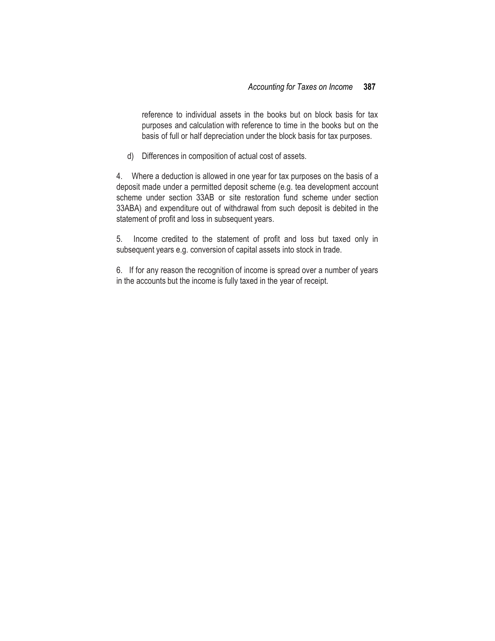reference to individual assets in the books but on block basis for tax purposes and calculation with reference to time in the books but on the basis of full or half depreciation under the block basis for tax purposes.

d) Differences in composition of actual cost of assets.

4. Where a deduction is allowed in one year for tax purposes on the basis of a deposit made under a permitted deposit scheme (e.g. tea development account scheme under section 33AB or site restoration fund scheme under section 33ABA) and expenditure out of withdrawal from such deposit is debited in the statement of profit and loss in subsequent years.

5. Income credited to the statement of profit and loss but taxed only in subsequent years e.g. conversion of capital assets into stock in trade.

6. If for any reason the recognition of income is spread over a number of years in the accounts but the income is fully taxed in the year of receipt.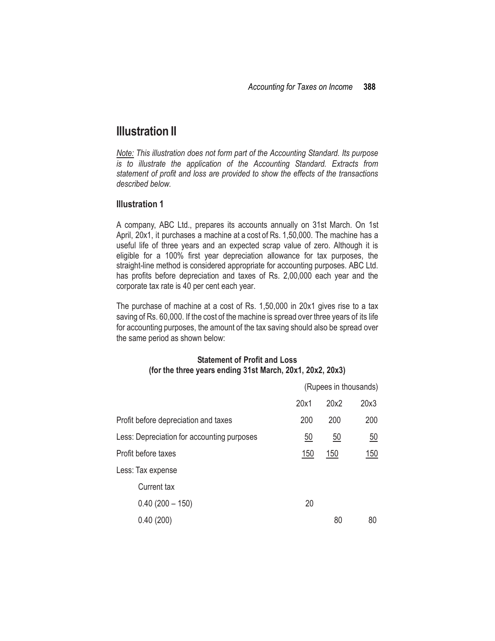# **Illustration II**

*Note: This illustration does not form part of the Accounting Standard. Its purpose is to illustrate the application of the Accounting Standard. Extracts from statement of profit and loss are provided to show the effects of the transactions described below.*

### **Illustration 1**

A company, ABC Ltd., prepares its accounts annually on 31st March. On 1st April, 20x1, it purchases a machine at a cost of Rs. 1,50,000. The machine has a useful life of three years and an expected scrap value of zero. Although it is eligible for a 100% first year depreciation allowance for tax purposes, the straight-line method is considered appropriate for accounting purposes. ABC Ltd. has profits before depreciation and taxes of Rs. 2,00,000 each year and the corporate tax rate is 40 per cent each year.

The purchase of machine at a cost of Rs. 1,50,000 in 20x1 gives rise to a tax saving of Rs. 60,000. If the cost of the machine is spread over three years of its life for accounting purposes, the amount of the tax saving should also be spread over the same period as shown below:

### **Statement of Profit and Loss (for the three years ending 31st March, 20x1, 20x2, 20x3)**

|                                            |                 | (Rupees in thousands) |                  |
|--------------------------------------------|-----------------|-----------------------|------------------|
|                                            | 20x1            | 20x2                  | 20x3             |
| Profit before depreciation and taxes       | 200             | 200                   | 200              |
| Less: Depreciation for accounting purposes | $\overline{50}$ | $\overline{50}$       | $\underline{50}$ |
| Profit before taxes                        | <u>150</u>      | 150                   | <u>150</u>       |
| Less: Tax expense                          |                 |                       |                  |
| Current tax                                |                 |                       |                  |
| $0.40(200 - 150)$                          | 20              |                       |                  |
| 0.40(200)                                  |                 | 80                    | 80               |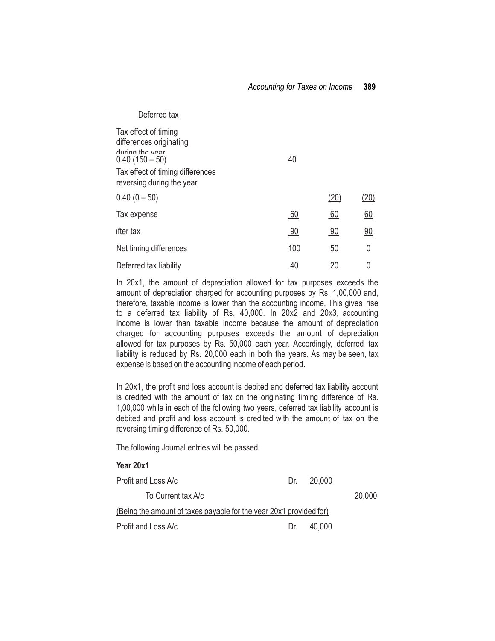| Deferred tax                                                                         |            |                  |          |
|--------------------------------------------------------------------------------------|------------|------------------|----------|
| Tax effect of timing<br>differences originating<br>during the year<br>$0.40(150-50)$ | 40         |                  |          |
| Tax effect of timing differences<br>reversing during the year                        |            |                  |          |
| $0.40(0 - 50)$                                                                       |            | (20)             | (20)     |
| Tax expense                                                                          | 60         | 60               | 60       |
| ifter tax                                                                            | 90         | 90               | 90       |
| Net timing differences                                                               | <u>100</u> | $\underline{50}$ | <u>0</u> |
| Deferred tax liability                                                               | 40         | ZU               |          |

In 20x1, the amount of depreciation allowed for tax purposes exceeds the amount of depreciation charged for accounting purposes by Rs. 1,00,000 and, therefore, taxable income is lower than the accounting income. This gives rise to a deferred tax liability of Rs. 40,000. In 20x2 and 20x3, accounting income is lower than taxable income because the amount of depreciation charged for accounting purposes exceeds the amount of depreciation allowed for tax purposes by Rs. 50,000 each year. Accordingly, deferred tax liability is reduced by Rs. 20,000 each in both the years. As may be seen, tax expense is based on the accounting income of each period.

In 20x1, the profit and loss account is debited and deferred tax liability account is credited with the amount of tax on the originating timing difference of Rs. 1,00,000 while in each of the following two years, deferred tax liability account is debited and profit and loss account is credited with the amount of tax on the reversing timing difference of Rs. 50,000.

The following Journal entries will be passed:

### **Year 20x1**

| Profit and Loss A/c                                                | Dr. | 20.000 |        |
|--------------------------------------------------------------------|-----|--------|--------|
| To Current tax A/c                                                 |     |        | 20,000 |
| (Being the amount of taxes payable for the year 20x1 provided for) |     |        |        |
| Profit and Loss A/c                                                | Dr. | 40.000 |        |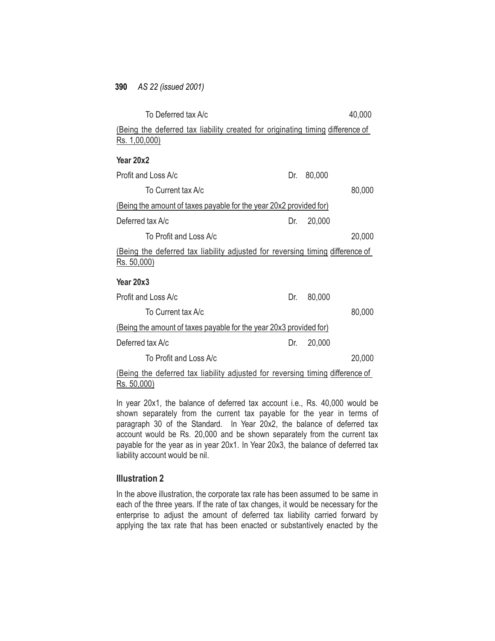| To Deferred tax A/c                                                                                    |     |        | 40,000 |
|--------------------------------------------------------------------------------------------------------|-----|--------|--------|
| (Being the deferred tax liability created for originating timing difference of<br><u>Rs. 1,00,000)</u> |     |        |        |
| Year 20x2                                                                                              |     |        |        |
| Profit and Loss A/c                                                                                    | Dr. | 80,000 |        |
| To Current tax A/c                                                                                     |     |        | 80,000 |
| (Being the amount of taxes payable for the year 20x2 provided for)                                     |     |        |        |
| Deferred tax A/c                                                                                       | Dr. | 20,000 |        |
| To Profit and Loss A/c                                                                                 |     |        | 20,000 |
| (Being the deferred tax liability adjusted for reversing timing difference of<br>Rs. 50,000            |     |        |        |
| Year 20x3                                                                                              |     |        |        |
| Profit and Loss A/c                                                                                    | Dr. | 80,000 |        |
| To Current tax A/c                                                                                     |     |        | 80,000 |
| (Being the amount of taxes payable for the year 20x3 provided for)                                     |     |        |        |
| Deferred tax A/c                                                                                       | Dr. | 20,000 |        |
| To Profit and Loss A/c                                                                                 |     |        | 20,000 |
|                                                                                                        |     |        |        |

(Being the deferred tax liability adjusted for reversing timing difference of Rs. 50,000)

In year 20x1, the balance of deferred tax account i.e., Rs. 40,000 would be shown separately from the current tax payable for the year in terms of paragraph 30 of the Standard. In Year 20x2, the balance of deferred tax account would be Rs. 20,000 and be shown separately from the current tax payable for the year as in year 20x1. In Year 20x3, the balance of deferred tax liability account would be nil.

# **Illustration 2**

In the above illustration, the corporate tax rate has been assumed to be same in each of the three years. If the rate of tax changes, it would be necessary for the enterprise to adjust the amount of deferred tax liability carried forward by applying the tax rate that has been enacted or substantively enacted by the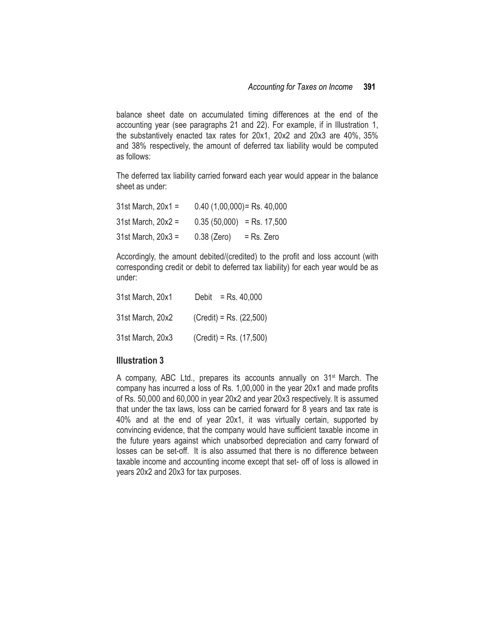balance sheet date on accumulated timing differences at the end of the accounting year (see paragraphs 21 and 22). For example, if in Illustration 1, the substantively enacted tax rates for 20x1, 20x2 and 20x3 are 40%, 35% and 38% respectively, the amount of deferred tax liability would be computed as follows:

The deferred tax liability carried forward each year would appear in the balance sheet as under:

| $31st March, 20x1 =$    | $0.40$ (1,00,000) = Rs. 40,000 |            |
|-------------------------|--------------------------------|------------|
| $31st March$ , $20x2 =$ | $0.35(50,000)$ = Rs. 17,500    |            |
| $31st March, 20x3 =$    | $0.38$ (Zero)                  | = Rs. Zero |

Accordingly, the amount debited/(credited) to the profit and loss account (with corresponding credit or debit to deferred tax liability) for each year would be as under:

| 31st March, 20x1 | $=$ Rs. 40,000<br>Debit   |
|------------------|---------------------------|
| 31st March, 20x2 | $(Credit) = Rs. (22,500)$ |
| 31st March, 20x3 | $(Credit) = Rs. (17,500)$ |

## **Illustration 3**

A company, ABC Ltd., prepares its accounts annually on 31st March. The company has incurred a loss of Rs. 1,00,000 in the year 20x1 and made profits of Rs. 50,000 and 60,000 in year 20x2 and year 20x3 respectively. It is assumed that under the tax laws, loss can be carried forward for 8 years and tax rate is 40% and at the end of year 20x1, it was virtually certain, supported by convincing evidence, that the company would have sufficient taxable income in the future years against which unabsorbed depreciation and carry forward of losses can be set-off. It is also assumed that there is no difference between taxable income and accounting income except that set- off of loss is allowed in years 20x2 and 20x3 for tax purposes.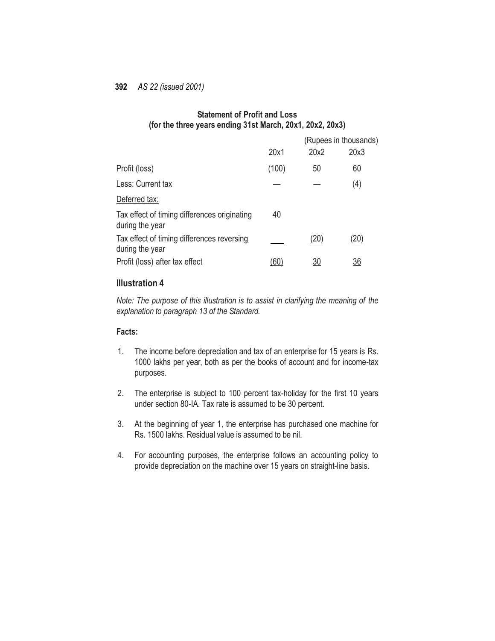# **Statement of Profit and Loss (for the three years ending 31st March, 20x1, 20x2, 20x3)**

|                                                                 |       |      | (Rupees in thousands) |
|-----------------------------------------------------------------|-------|------|-----------------------|
|                                                                 | 20x1  | 20x2 | 20x3                  |
| Profit (loss)                                                   | (100) | 50   | 60                    |
| Less: Current tax                                               |       |      | (4)                   |
| Deferred tax:                                                   |       |      |                       |
| Tax effect of timing differences originating<br>during the year | 40    |      |                       |
| Tax effect of timing differences reversing<br>during the year   |       | (20) | (20)                  |
| Profit (loss) after tax effect                                  | '60   | 30   | 36                    |

### **Illustration 4**

*Note: The purpose of this illustration is to assist in clarifying the meaning of the explanation to paragraph 13 of the Standard.*

## **Facts:**

- 1. The income before depreciation and tax of an enterprise for 15 years is Rs. 1000 lakhs per year, both as per the books of account and for income-tax purposes.
- 2. The enterprise is subject to 100 percent tax-holiday for the first 10 years under section 80-IA. Tax rate is assumed to be 30 percent.
- 3. At the beginning of year 1, the enterprise has purchased one machine for Rs. 1500 lakhs. Residual value is assumed to be nil.
- 4. For accounting purposes, the enterprise follows an accounting policy to provide depreciation on the machine over 15 years on straight-line basis.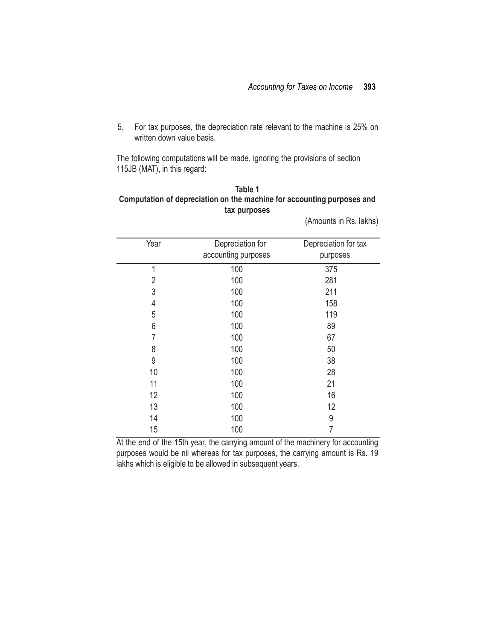5. For tax purposes, the depreciation rate relevant to the machine is 25% on written down value basis.

The following computations will be made, ignoring the provisions of section 115JB (MAT), in this regard:

# **Table 1 Computation of depreciation on the machine for accounting purposes and tax purposes**

Year Depreciation for accounting purposes Depreciation for tax purposes 1 100 375 2 100 281 3 100 211 4 100 158 5 100 119 6 100 89 7 100 67 8 100 50 9 100 38 10 100 28 11 100 21 12 100 16 13 100 12 14 100 9 15 100 7

(Amounts in Rs. lakhs)

At the end of the 15th year, the carrying amount of the machinery for accounting purposes would be nil whereas for tax purposes, the carrying amount is Rs. 19 lakhs which is eligible to be allowed in subsequent years.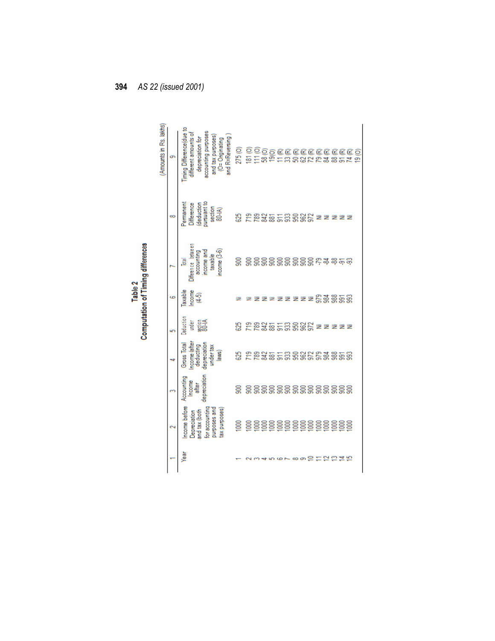|                     |                                                                                                  |                                              |                                                                                |                                        | <b>Laple</b>                 | <b>Computation of Timing differences</b>                                                   |                                                                          |                                                                                                                                                      |
|---------------------|--------------------------------------------------------------------------------------------------|----------------------------------------------|--------------------------------------------------------------------------------|----------------------------------------|------------------------------|--------------------------------------------------------------------------------------------|--------------------------------------------------------------------------|------------------------------------------------------------------------------------------------------------------------------------------------------|
|                     |                                                                                                  |                                              |                                                                                |                                        |                              |                                                                                            |                                                                          | (Amounts in Rs. lakhs                                                                                                                                |
|                     | 2                                                                                                |                                              | 4                                                                              | 5                                      | G                            |                                                                                            | ∞                                                                        | ø                                                                                                                                                    |
| Year                | ncome before<br>for accounting<br>purposes and<br>tax purposes)<br>and tax (both<br>Depreciation | depreciation<br>Accounting<br>ncome<br>after | Income (after<br>depreciation<br>Gross Total<br>deducting<br>under tax<br>aws) | Deduction<br>Section<br>80-IA<br>under | Taxable<br>Income<br>$(4-5)$ | Difference between<br>ncome and<br>income $(3-6)$<br>accounting<br>taxable<br><b>Total</b> | pursuant to<br>deduction<br>Permanent<br>Difference<br>section<br>80-IA) | iming Difference(due to<br>accounting purposes<br>different amounts of<br>and tax purposes<br>and R=Reversing<br>depreciation for<br>(O= Originating |
|                     | $\overline{\mathsf{SO}}$                                                                         | g                                            | 525                                                                            | 55                                     |                              |                                                                                            | ន្ល                                                                      | 275 <sub>(O)</sub>                                                                                                                                   |
|                     | $\frac{8}{2}$                                                                                    | 900                                          | <u>وم</u>                                                                      | <u>وم</u>                              |                              | g                                                                                          | <u>وا</u>                                                                | 181 <sub>(O)</sub>                                                                                                                                   |
|                     |                                                                                                  |                                              |                                                                                | <b>892</b>                             |                              |                                                                                            |                                                                          | 11(0)                                                                                                                                                |
|                     |                                                                                                  | 5555555555555                                | <b>examena</b>                                                                 |                                        |                              | ន្តន្តន្តន្តន្តន្តន្តុកុងនុត្                                                              | <b>RASHRSSH</b>                                                          | 58 (O)                                                                                                                                               |
|                     |                                                                                                  |                                              |                                                                                |                                        |                              |                                                                                            |                                                                          |                                                                                                                                                      |
|                     |                                                                                                  |                                              |                                                                                | ន្តដូននិន្នដ                           |                              |                                                                                            |                                                                          |                                                                                                                                                      |
|                     |                                                                                                  |                                              |                                                                                |                                        | ż                            |                                                                                            |                                                                          | នាំ                                                                                                                                                  |
| ထ တ                 |                                                                                                  |                                              |                                                                                |                                        | 乏                            |                                                                                            |                                                                          |                                                                                                                                                      |
|                     |                                                                                                  |                                              |                                                                                |                                        | z                            |                                                                                            |                                                                          |                                                                                                                                                      |
| ≘                   |                                                                                                  |                                              |                                                                                |                                        | ž                            |                                                                                            |                                                                          |                                                                                                                                                      |
|                     |                                                                                                  |                                              |                                                                                | 医                                      |                              |                                                                                            | ₹                                                                        |                                                                                                                                                      |
| $\bar{\phantom{a}}$ |                                                                                                  |                                              |                                                                                | 乏                                      |                              |                                                                                            | 乏                                                                        |                                                                                                                                                      |
|                     |                                                                                                  |                                              | 388                                                                            |                                        | ន្តនីន្តនីន                  |                                                                                            | ₹                                                                        | <b>CONNESSEN</b>                                                                                                                                     |
|                     |                                                                                                  |                                              | ត្តឱ្                                                                          |                                        |                              |                                                                                            | ż                                                                        |                                                                                                                                                      |
|                     |                                                                                                  |                                              |                                                                                |                                        |                              |                                                                                            | 乏                                                                        |                                                                                                                                                      |
|                     |                                                                                                  |                                              |                                                                                |                                        |                              |                                                                                            |                                                                          | ഉ                                                                                                                                                    |

−.<br>Hati Table 2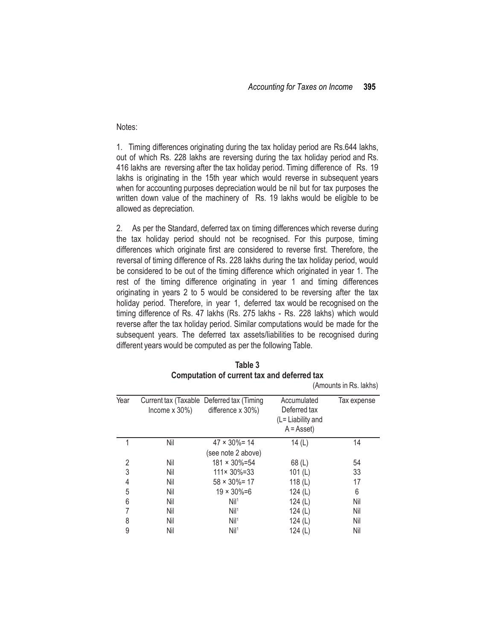#### Notes:

1. Timing differences originating during the tax holiday period are Rs.644 lakhs, out of which Rs. 228 lakhs are reversing during the tax holiday period and Rs. 416 lakhs are reversing after the tax holiday period. Timing difference of Rs. 19 lakhs is originating in the 15th year which would reverse in subsequent years when for accounting purposes depreciation would be nil but for tax purposes the written down value of the machinery of Rs. 19 lakhs would be eligible to be allowed as depreciation.

2. As per the Standard, deferred tax on timing differences which reverse during the tax holiday period should not be recognised. For this purpose, timing differences which originate first are considered to reverse first. Therefore, the reversal of timing difference of Rs. 228 lakhs during the tax holiday period, would be considered to be out of the timing difference which originated in year 1. The rest of the timing difference originating in year 1 and timing differences originating in years 2 to 5 would be considered to be reversing after the tax holiday period. Therefore, in year 1, deferred tax would be recognised on the timing difference of Rs. 47 lakhs (Rs. 275 lakhs - Rs. 228 lakhs) which would reverse after the tax holiday period. Similar computations would be made for the subsequent years. The deferred tax assets/liabilities to be recognised during different years would be computed as per the following Table.

| Year | Income $x$ 30%) | Current tax (Taxable Deferred tax (Timing<br>difference $x$ 30%) | Accumulated<br>Deferred tax<br>(L= Liability and<br>$A = Asset$ | Tax expense |
|------|-----------------|------------------------------------------------------------------|-----------------------------------------------------------------|-------------|
|      | Nil             | $47 \times 30\% = 14$                                            | 14 $(L)$                                                        | 14          |
|      |                 | (see note 2 above)                                               |                                                                 |             |
| 2    | Nil             | $181 \times 30\% = 54$                                           | 68 (L)                                                          | 54          |
| 3    | Nil             | $111 \times 30\% = 33$                                           | 101 $(L)$                                                       | 33          |
| 4    | Nil             | $58 \times 30\% = 17$                                            | 118 $(L)$                                                       | 17          |
| 5    | Nil             | $19 \times 30\% = 6$                                             | 124 $(L)$                                                       | 6           |
| 6    | Nil             | Nil <sup>1</sup>                                                 | 124 $(L)$                                                       | Nil         |
|      | Nil             | Nil <sup>1</sup>                                                 | 124 $(L)$                                                       | Nil         |
| 8    | Nil             | Nil <sup>1</sup>                                                 | 124 $(L)$                                                       | Nil         |
| 9    | Nil             | Nil <sup>1</sup>                                                 | 124 $(L)$                                                       | Nil         |

|                                                    | Table 3 |  |  |
|----------------------------------------------------|---------|--|--|
| <b>Computation of current tax and deferred tax</b> |         |  |  |

(Amounts in Rs. lakhs)